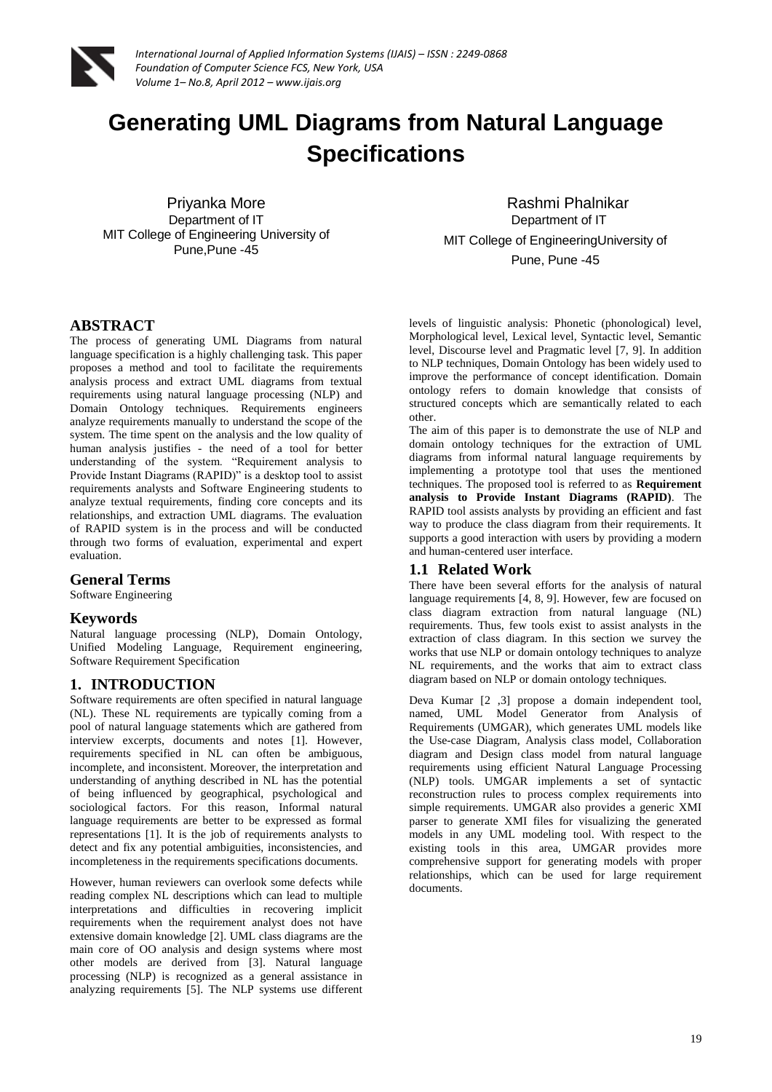

# **Generating UML Diagrams from Natural Language Specifications**

Priyanka More Department of IT MIT College of Engineering University of Pune,Pune -45

 Rashmi Phalnikar Department of IT MIT College of EngineeringUniversity of Pune, Pune -45

# **ABSTRACT**

The process of generating UML Diagrams from natural language specification is a highly challenging task. This paper proposes a method and tool to facilitate the requirements analysis process and extract UML diagrams from textual requirements using natural language processing (NLP) and Domain Ontology techniques. Requirements engineers analyze requirements manually to understand the scope of the system. The time spent on the analysis and the low quality of human analysis justifies - the need of a tool for better understanding of the system. "Requirement analysis to Provide Instant Diagrams (RAPID)" is a desktop tool to assist requirements analysts and Software Engineering students to analyze textual requirements, finding core concepts and its relationships, and extraction UML diagrams. The evaluation of RAPID system is in the process and will be conducted through two forms of evaluation, experimental and expert evaluation.

# **General Terms**

Software Engineering

## **Keywords**

Natural language processing (NLP), Domain Ontology, Unified Modeling Language, Requirement engineering, Software Requirement Specification

# **1. INTRODUCTION**

Software requirements are often specified in natural language (NL). These NL requirements are typically coming from a pool of natural language statements which are gathered from interview excerpts, documents and notes [1]. However, requirements specified in NL can often be ambiguous, incomplete, and inconsistent. Moreover, the interpretation and understanding of anything described in NL has the potential of being influenced by geographical, psychological and sociological factors. For this reason, Informal natural language requirements are better to be expressed as formal representations [1]. It is the job of requirements analysts to detect and fix any potential ambiguities, inconsistencies, and incompleteness in the requirements specifications documents.

However, human reviewers can overlook some defects while reading complex NL descriptions which can lead to multiple interpretations and difficulties in recovering implicit requirements when the requirement analyst does not have extensive domain knowledge [2]. UML class diagrams are the main core of OO analysis and design systems where most other models are derived from [3]. Natural language processing (NLP) is recognized as a general assistance in analyzing requirements [5]. The NLP systems use different

levels of linguistic analysis: Phonetic (phonological) level, Morphological level, Lexical level, Syntactic level, Semantic level, Discourse level and Pragmatic level [7, 9]. In addition to NLP techniques, Domain Ontology has been widely used to improve the performance of concept identification. Domain ontology refers to domain knowledge that consists of structured concepts which are semantically related to each other.

The aim of this paper is to demonstrate the use of NLP and domain ontology techniques for the extraction of UML diagrams from informal natural language requirements by implementing a prototype tool that uses the mentioned techniques. The proposed tool is referred to as **Requirement analysis to Provide Instant Diagrams (RAPID)**. The RAPID tool assists analysts by providing an efficient and fast way to produce the class diagram from their requirements. It supports a good interaction with users by providing a modern and human-centered user interface.

## **1.1 Related Work**

There have been several efforts for the analysis of natural language requirements [4, 8, 9]. However, few are focused on class diagram extraction from natural language (NL) requirements. Thus, few tools exist to assist analysts in the extraction of class diagram. In this section we survey the works that use NLP or domain ontology techniques to analyze NL requirements, and the works that aim to extract class diagram based on NLP or domain ontology techniques.

Deva Kumar [2 ,3] propose a domain independent tool, named, UML Model Generator from Analysis of Requirements (UMGAR), which generates UML models like the Use-case Diagram, Analysis class model, Collaboration diagram and Design class model from natural language requirements using efficient Natural Language Processing (NLP) tools. UMGAR implements a set of syntactic reconstruction rules to process complex requirements into simple requirements. UMGAR also provides a generic XMI parser to generate XMI files for visualizing the generated models in any UML modeling tool. With respect to the existing tools in this area, UMGAR provides more comprehensive support for generating models with proper relationships, which can be used for large requirement documents.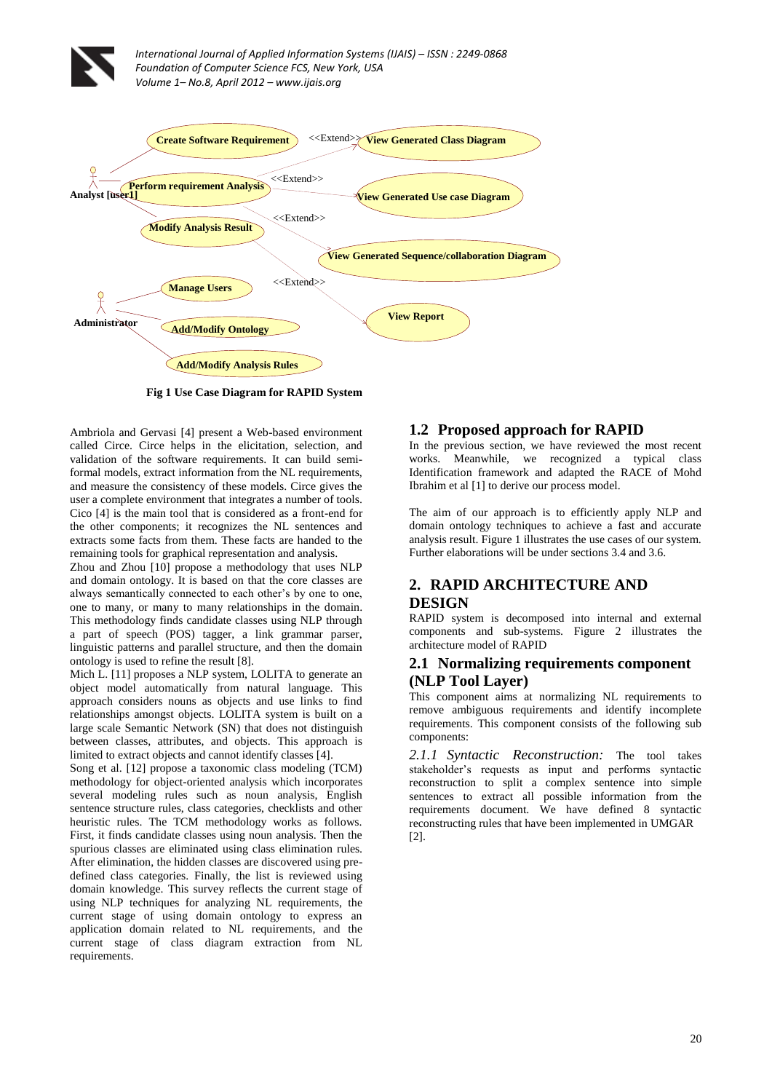

**Fig 1 Use Case Diagram for RAPID System**

Ambriola and Gervasi [4] present a Web-based environment called Circe. Circe helps in the elicitation, selection, and validation of the software requirements. It can build semiformal models, extract information from the NL requirements, and measure the consistency of these models. Circe gives the user a complete environment that integrates a number of tools. Cico [4] is the main tool that is considered as a front-end for the other components; it recognizes the NL sentences and extracts some facts from them. These facts are handed to the remaining tools for graphical representation and analysis.

Zhou and Zhou [10] propose a methodology that uses NLP and domain ontology. It is based on that the core classes are always semantically connected to each other"s by one to one, one to many, or many to many relationships in the domain. This methodology finds candidate classes using NLP through a part of speech (POS) tagger, a link grammar parser, linguistic patterns and parallel structure, and then the domain ontology is used to refine the result [8].

Mich L. [11] proposes a NLP system, LOLITA to generate an object model automatically from natural language. This approach considers nouns as objects and use links to find relationships amongst objects. LOLITA system is built on a large scale Semantic Network (SN) that does not distinguish between classes, attributes, and objects. This approach is limited to extract objects and cannot identify classes [4].

Song et al. [12] propose a taxonomic class modeling (TCM) methodology for object-oriented analysis which incorporates several modeling rules such as noun analysis, English sentence structure rules, class categories, checklists and other heuristic rules. The TCM methodology works as follows. First, it finds candidate classes using noun analysis. Then the spurious classes are eliminated using class elimination rules. After elimination, the hidden classes are discovered using predefined class categories. Finally, the list is reviewed using domain knowledge. This survey reflects the current stage of using NLP techniques for analyzing NL requirements, the current stage of using domain ontology to express an application domain related to NL requirements, and the current stage of class diagram extraction from NL requirements.

#### **1.2 Proposed approach for RAPID**

In the previous section, we have reviewed the most recent works. Meanwhile, we recognized a typical class Identification framework and adapted the RACE of Mohd Ibrahim et al [1] to derive our process model.

The aim of our approach is to efficiently apply NLP and domain ontology techniques to achieve a fast and accurate analysis result. Figure 1 illustrates the use cases of our system. Further elaborations will be under sections 3.4 and 3.6.

# **2. RAPID ARCHITECTURE AND DESIGN**

RAPID system is decomposed into internal and external components and sub-systems. Figure 2 illustrates the architecture model of RAPID

## **2.1 Normalizing requirements component (NLP Tool Layer)**

This component aims at normalizing NL requirements to remove ambiguous requirements and identify incomplete requirements. This component consists of the following sub components:

*2.1.1 Syntactic Reconstruction:* The tool takes stakeholder"s requests as input and performs syntactic reconstruction to split a complex sentence into simple sentences to extract all possible information from the requirements document. We have defined 8 syntactic reconstructing rules that have been implemented in UMGAR [2].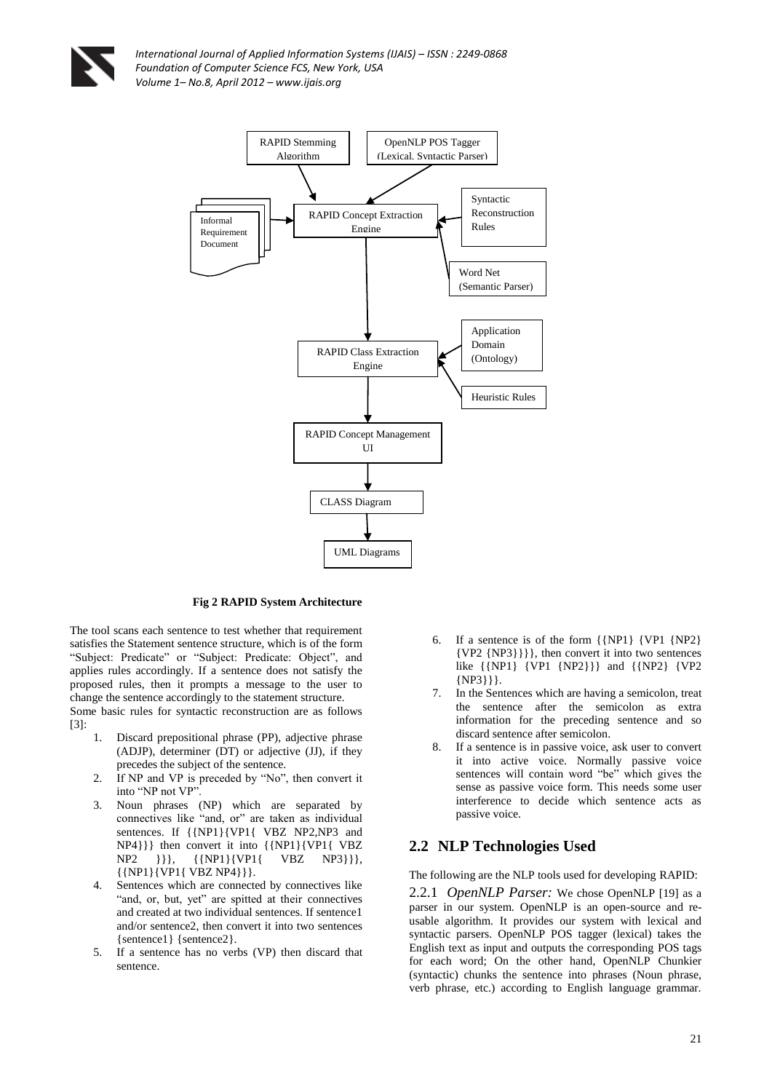



#### **Fig 2 RAPID System Architecture**

The tool scans each sentence to test whether that requirement satisfies the Statement sentence structure, which is of the form "Subject: Predicate" or "Subject: Predicate: Object", and applies rules accordingly. If a sentence does not satisfy the proposed rules, then it prompts a message to the user to change the sentence accordingly to the statement structure. Some basic rules for syntactic reconstruction are as follows

[3]:

- 1. Discard prepositional phrase (PP), adjective phrase (ADJP), determiner (DT) or adjective (JJ), if they precedes the subject of the sentence.
- 2. If NP and VP is preceded by "No", then convert it into "NP not VP".
- 3. Noun phrases (NP) which are separated by connectives like "and, or" are taken as individual sentences. If  ${\{NP1\}\{VP1\}}$  VBZ NP2,NP3 and NP4}}} then convert it into {{NP1}{VP1{ VBZ NP2 }}}, {{NP1}{VP1{ VBZ NP3}}},  $\{ \{ NP1\} \{ VP1\} \{ VBZ NP4 \} \}.$
- 4. Sentences which are connected by connectives like "and, or, but, yet" are spitted at their connectives and created at two individual sentences. If sentence1 and/or sentence2, then convert it into two sentences {sentence1} {sentence2}.
- 5. If a sentence has no verbs (VP) then discard that sentence.
- 6. If a sentence is of the form {{NP1} {VP1 {NP2} {VP2 {NP3}}}}, then convert it into two sentences like {{NP1} {VP1 {NP2}}} and {{NP2} {VP2 {NP3}}}.
- 7. In the Sentences which are having a semicolon, treat the sentence after the semicolon as extra information for the preceding sentence and so discard sentence after semicolon.
- 8. If a sentence is in passive voice, ask user to convert it into active voice. Normally passive voice sentences will contain word "be" which gives the sense as passive voice form. This needs some user interference to decide which sentence acts as passive voice.

# **2.2 NLP Technologies Used**

The following are the NLP tools used for developing RAPID:

2.2.1 *OpenNLP Parser:* We chose OpenNLP [19] as a parser in our system. OpenNLP is an open-source and reusable algorithm. It provides our system with lexical and syntactic parsers. OpenNLP POS tagger (lexical) takes the English text as input and outputs the corresponding POS tags for each word; On the other hand, OpenNLP Chunkier (syntactic) chunks the sentence into phrases (Noun phrase, verb phrase, etc.) according to English language grammar.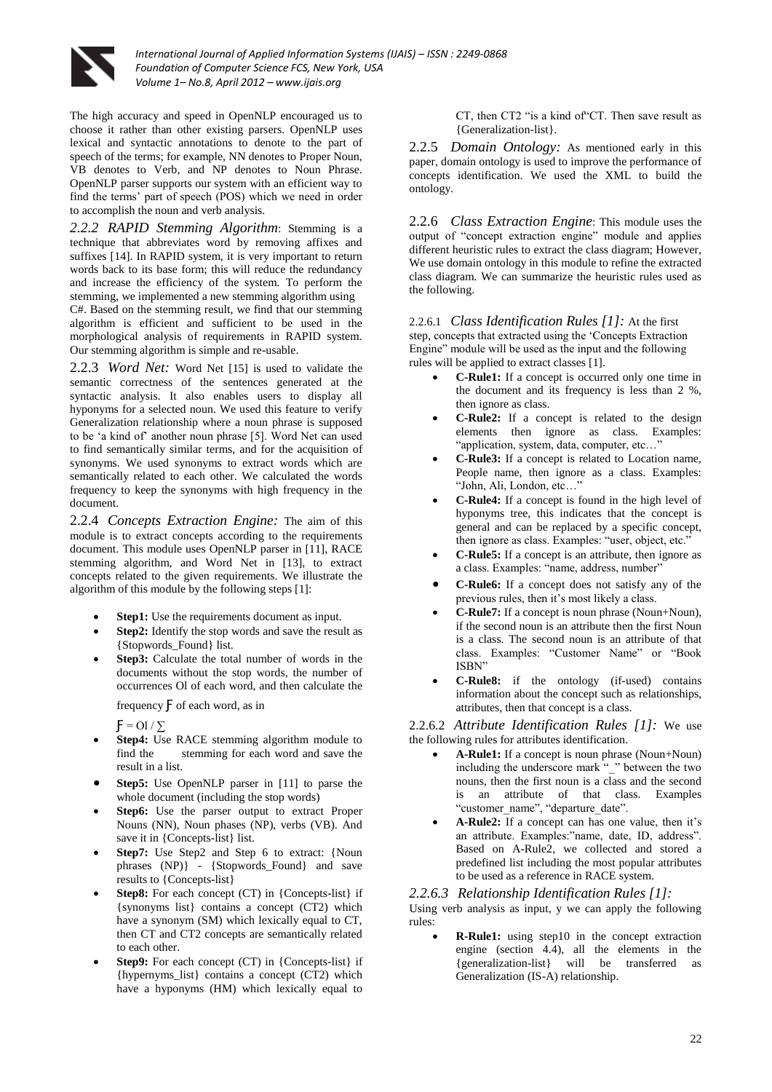

The high accuracy and speed in OpenNLP encouraged us to choose it rather than other existing parsers. OpenNLP uses lexical and syntactic annotations to denote to the part of speech of the terms; for example, NN denotes to Proper Noun, VB denotes to Verb, and NP denotes to Noun Phrase. OpenNLP parser supports our system with an efficient way to find the terms" part of speech (POS) which we need in order to accomplish the noun and verb analysis.

*2.2.2 RAPID Stemming Algorithm*: Stemming is a technique that abbreviates word by removing affixes and suffixes [14]. In RAPID system, it is very important to return words back to its base form; this will reduce the redundancy and increase the efficiency of the system. To perform the stemming, we implemented a new stemming algorithm using C#. Based on the stemming result, we find that our stemming algorithm is efficient and sufficient to be used in the morphological analysis of requirements in RAPID system. Our stemming algorithm is simple and re-usable.

2.2.3 *Word Net:* Word Net [15] is used to validate the semantic correctness of the sentences generated at the syntactic analysis. It also enables users to display all hyponyms for a selected noun. We used this feature to verify Generalization relationship where a noun phrase is supposed to be "a kind of" another noun phrase [5]. Word Net can used to find semantically similar terms, and for the acquisition of synonyms. We used synonyms to extract words which are semantically related to each other. We calculated the words frequency to keep the synonyms with high frequency in the document.

2.2.4 *Concepts Extraction Engine:* The aim of this module is to extract concepts according to the requirements document. This module uses OpenNLP parser in [11], RACE stemming algorithm, and Word Net in [13], to extract concepts related to the given requirements. We illustrate the algorithm of this module by the following steps [1]:

- **Step1:** Use the requirements document as input.
- **Step2:** Identify the stop words and save the result as {Stopwords\_Found} list.
- **Step3:** Calculate the total number of words in the documents without the stop words, the number of occurrences Ol of each word, and then calculate the

frequency  $\overline{F}$  of each word, as in

 $F = 01 / \sum$ 

- **Step4:** Use RACE stemming algorithm module to find the stemming for each word and save the result in a list.
- **Step5:** Use OpenNLP parser in [11] to parse the whole document (including the stop words)
- **Step6:** Use the parser output to extract Proper Nouns (NN), Noun phases (NP), verbs (VB). And save it in {Concepts-list} list.
- **Step7:** Use Step2 and Step 6 to extract: {Noun phrases (NP)} - {Stopwords\_Found} and save results to {Concepts-list}
- **Step8:** For each concept (CT) in {Concepts-list} if {synonyms list} contains a concept (CT2) which have a synonym (SM) which lexically equal to CT, then CT and CT2 concepts are semantically related to each other.
- **Step9:** For each concept (CT) in {Concepts-list} if {hypernyms\_list} contains a concept (CT2) which have a hyponyms (HM) which lexically equal to

CT, then CT2 "is a kind of"CT. Then save result as {Generalization-list}.

2.2.5 *Domain Ontology:* As mentioned early in this paper, domain ontology is used to improve the performance of concepts identification. We used the XML to build the ontology.

2.2.6 *Class Extraction Engine*: This module uses the output of "concept extraction engine" module and applies different heuristic rules to extract the class diagram; However, We use domain ontology in this module to refine the extracted class diagram. We can summarize the heuristic rules used as the following.

2.2.6.1 *Class Identification Rules [1]:* At the first step, concepts that extracted using the 'Concepts Extraction Engine" module will be used as the input and the following rules will be applied to extract classes [1].

- **C-Rule1:** If a concept is occurred only one time in the document and its frequency is less than 2 %, then ignore as class.
- **C-Rule2:** If a concept is related to the design elements then ignore as class. Examples: "application, system, data, computer, etc…"
- **C-Rule3:** If a concept is related to Location name, People name, then ignore as a class. Examples: "John, Ali, London, etc…"
- **C-Rule4:** If a concept is found in the high level of hyponyms tree, this indicates that the concept is general and can be replaced by a specific concept, then ignore as class. Examples: "user, object, etc."
- **C-Rule5:** If a concept is an attribute, then ignore as a class. Examples: "name, address, number"
- **C-Rule6:** If a concept does not satisfy any of the previous rules, then it's most likely a class.
- **C-Rule7:** If a concept is noun phrase (Noun+Noun), if the second noun is an attribute then the first Noun is a class. The second noun is an attribute of that class. Examples: "Customer Name" or "Book ISBN"
- **C-Rule8:** if the ontology (if-used) contains information about the concept such as relationships, attributes, then that concept is a class.

2.2.6.2 *Attribute Identification Rules [1]:* We use the following rules for attributes identification.

- **A-Rule1:** If a concept is noun phrase (Noun+Noun) including the underscore mark " " between the two nouns, then the first noun is a class and the second is an attribute of that class. Examples "customer\_name", "departure\_date".
- A-Rule2: If a concept can has one value, then it's an attribute. Examples:"name, date, ID, address". Based on A-Rule2, we collected and stored a predefined list including the most popular attributes to be used as a reference in RACE system.

#### *2.2.6.3 Relationship Identification Rules [1]:*

Using verb analysis as input, y we can apply the following rules:

 **R-Rule1:** using step10 in the concept extraction engine (section 4.4), all the elements in the {generalization-list} will be transferred as Generalization (IS-A) relationship.